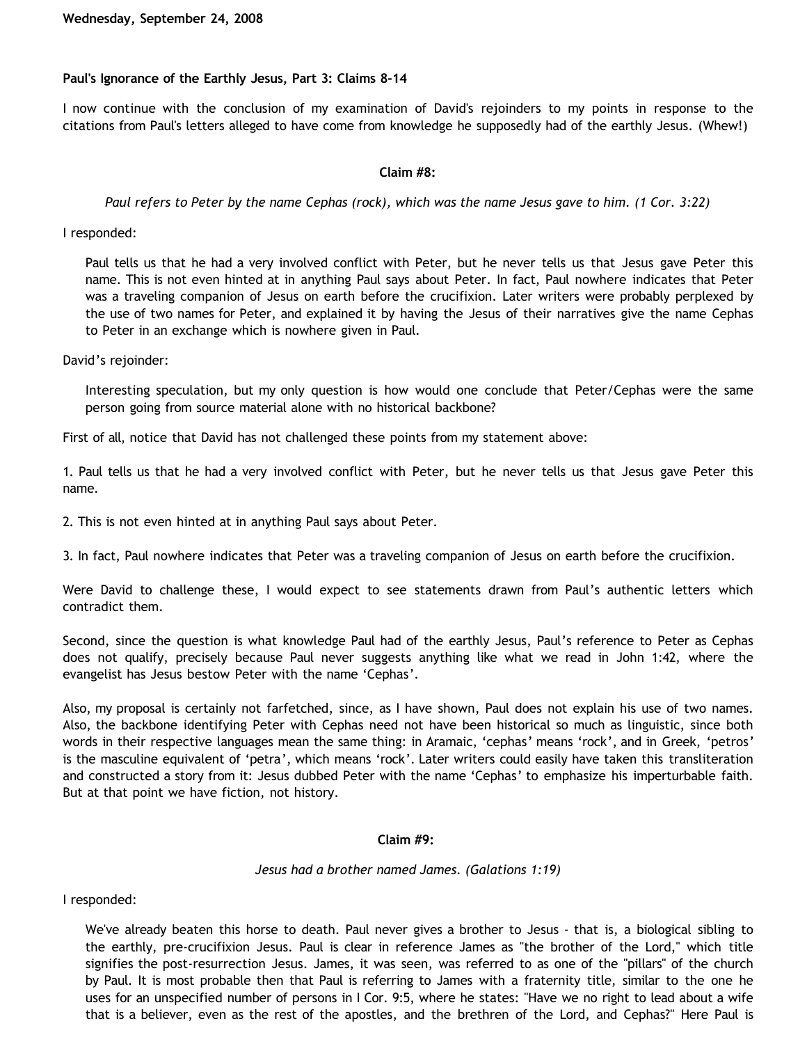# **Paul's Ignorance of the Earthly Jesus, Part 3: Claims 8-14**

I now continue with the conclusion of my examination of David's rejoinders to my points in response to the citations from Paul's letters alleged to have come from knowledge he supposedly had of the earthly Jesus. (Whew!)

### **Claim #8:**

*Paul refers to Peter by the name Cephas (rock), which was the name Jesus gave to him. (1 Cor. 3:22)*

I responded:

Paul tells us that he had a very involved conflict with Peter, but he never tells us that Jesus gave Peter this name. This is not even hinted at in anything Paul says about Peter. In fact, Paul nowhere indicates that Peter was a traveling companion of Jesus on earth before the crucifixion. Later writers were probably perplexed by the use of two names for Peter, and explained it by having the Jesus of their narratives give the name Cephas to Peter in an exchange which is nowhere given in Paul.

David's rejoinder:

Interesting speculation, but my only question is how would one conclude that Peter/Cephas were the same person going from source material alone with no historical backbone?

First of all, notice that David has not challenged these points from my statement above:

1. Paul tells us that he had a very involved conflict with Peter, but he never tells us that Jesus gave Peter this name.

2. This is not even hinted at in anything Paul says about Peter.

3. In fact, Paul nowhere indicates that Peter was a traveling companion of Jesus on earth before the crucifixion.

Were David to challenge these, I would expect to see statements drawn from Paul's authentic letters which contradict them.

Second, since the question is what knowledge Paul had of the earthly Jesus, Paul's reference to Peter as Cephas does not qualify, precisely because Paul never suggests anything like what we read in John 1:42, where the evangelist has Jesus bestow Peter with the name 'Cephas'.

Also, my proposal is certainly not farfetched, since, as I have shown, Paul does not explain his use of two names. Also, the backbone identifying Peter with Cephas need not have been historical so much as linguistic, since both words in their respective languages mean the same thing: in Aramaic, 'cephas' means 'rock', and in Greek, 'petros' is the masculine equivalent of 'petra', which means 'rock'. Later writers could easily have taken this transliteration and constructed a story from it: Jesus dubbed Peter with the name 'Cephas' to emphasize his imperturbable faith. But at that point we have fiction, not history.

#### **Claim #9:**

#### *Jesus had a brother named James. (Galations 1:19)*

I responded:

We've already beaten this horse to death. Paul never gives a brother to Jesus - that is, a biological sibling to the earthly, pre-crucifixion Jesus. Paul is clear in reference James as "the brother of the Lord," which title signifies the post-resurrection Jesus. James, it was seen, was referred to as one of the "pillars" of the church by Paul. It is most probable then that Paul is referring to James with a fraternity title, similar to the one he uses for an unspecified number of persons in I Cor. 9:5, where he states: "Have we no right to lead about a wife that is a believer, even as the rest of the apostles, and the brethren of the Lord, and Cephas?" Here Paul is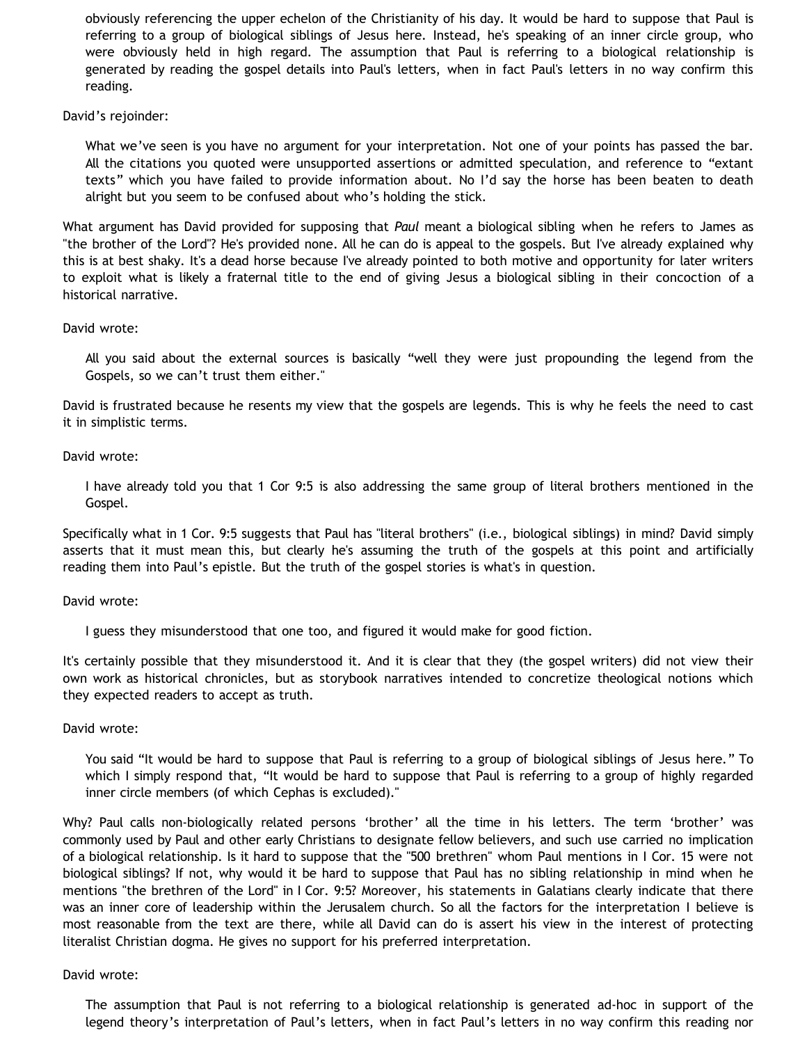obviously referencing the upper echelon of the Christianity of his day. It would be hard to suppose that Paul is referring to a group of biological siblings of Jesus here. Instead, he's speaking of an inner circle group, who were obviously held in high regard. The assumption that Paul is referring to a biological relationship is generated by reading the gospel details into Paul's letters, when in fact Paul's letters in no way confirm this reading.

David's rejoinder:

What we've seen is you have no argument for your interpretation. Not one of your points has passed the bar. All the citations you quoted were unsupported assertions or admitted speculation, and reference to "extant texts" which you have failed to provide information about. No I'd say the horse has been beaten to death alright but you seem to be confused about who's holding the stick.

What argument has David provided for supposing that *Paul* meant a biological sibling when he refers to James as "the brother of the Lord"? He's provided none. All he can do is appeal to the gospels. But I've already explained why this is at best shaky. It's a dead horse because I've already pointed to both motive and opportunity for later writers to exploit what is likely a fraternal title to the end of giving Jesus a biological sibling in their concoction of a historical narrative.

### David wrote:

All you said about the external sources is basically "well they were just propounding the legend from the Gospels, so we can't trust them either."

David is frustrated because he resents my view that the gospels are legends. This is why he feels the need to cast it in simplistic terms.

### David wrote:

I have already told you that 1 Cor 9:5 is also addressing the same group of literal brothers mentioned in the Gospel.

Specifically what in 1 Cor. 9:5 suggests that Paul has "literal brothers" (i.e., biological siblings) in mind? David simply asserts that it must mean this, but clearly he's assuming the truth of the gospels at this point and artificially reading them into Paul's epistle. But the truth of the gospel stories is what's in question.

### David wrote:

I guess they misunderstood that one too, and figured it would make for good fiction.

It's certainly possible that they misunderstood it. And it is clear that they (the gospel writers) did not view their own work as historical chronicles, but as storybook narratives intended to concretize theological notions which they expected readers to accept as truth.

### David wrote:

You said "It would be hard to suppose that Paul is referring to a group of biological siblings of Jesus here." To which I simply respond that, "It would be hard to suppose that Paul is referring to a group of highly regarded inner circle members (of which Cephas is excluded)."

Why? Paul calls non-biologically related persons 'brother' all the time in his letters. The term 'brother' was commonly used by Paul and other early Christians to designate fellow believers, and such use carried no implication of a biological relationship. Is it hard to suppose that the "500 brethren" whom Paul mentions in I Cor. 15 were not biological siblings? If not, why would it be hard to suppose that Paul has no sibling relationship in mind when he mentions "the brethren of the Lord" in I Cor. 9:5? Moreover, his statements in Galatians clearly indicate that there was an inner core of leadership within the Jerusalem church. So all the factors for the interpretation I believe is most reasonable from the text are there, while all David can do is assert his view in the interest of protecting literalist Christian dogma. He gives no support for his preferred interpretation.

### David wrote:

The assumption that Paul is not referring to a biological relationship is generated ad-hoc in support of the legend theory's interpretation of Paul's letters, when in fact Paul's letters in no way confirm this reading nor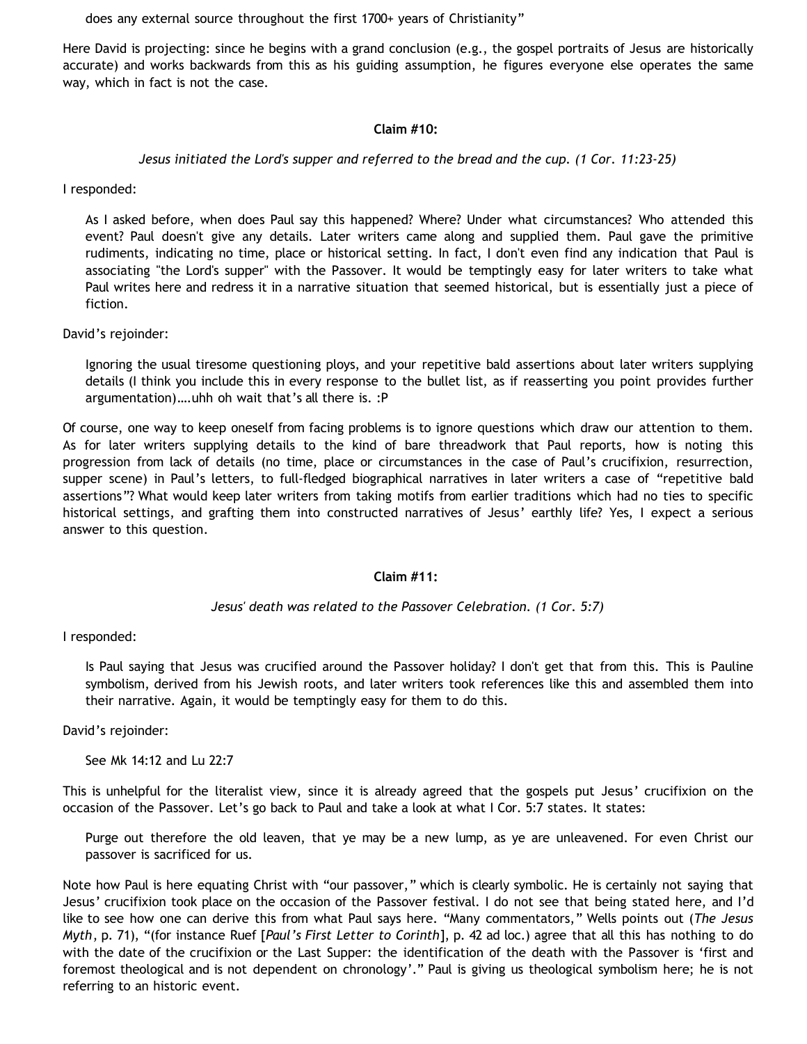does any external source throughout the first 1700+ years of Christianity"

Here David is projecting: since he begins with a grand conclusion (e.g., the gospel portraits of Jesus are historically accurate) and works backwards from this as his guiding assumption, he figures everyone else operates the same way, which in fact is not the case.

## **Claim #10:**

## *Jesus initiated the Lord's supper and referred to the bread and the cup. (1 Cor. 11:23-25)*

I responded:

As I asked before, when does Paul say this happened? Where? Under what circumstances? Who attended this event? Paul doesn't give any details. Later writers came along and supplied them. Paul gave the primitive rudiments, indicating no time, place or historical setting. In fact, I don't even find any indication that Paul is associating "the Lord's supper" with the Passover. It would be temptingly easy for later writers to take what Paul writes here and redress it in a narrative situation that seemed historical, but is essentially just a piece of fiction.

David's rejoinder:

Ignoring the usual tiresome questioning ploys, and your repetitive bald assertions about later writers supplying details (I think you include this in every response to the bullet list, as if reasserting you point provides further argumentation)….uhh oh wait that's all there is. :P

Of course, one way to keep oneself from facing problems is to ignore questions which draw our attention to them. As for later writers supplying details to the kind of bare threadwork that Paul reports, how is noting this progression from lack of details (no time, place or circumstances in the case of Paul's crucifixion, resurrection, supper scene) in Paul's letters, to full-fledged biographical narratives in later writers a case of "repetitive bald assertions"? What would keep later writers from taking motifs from earlier traditions which had no ties to specific historical settings, and grafting them into constructed narratives of Jesus' earthly life? Yes, I expect a serious answer to this question.

### **Claim #11:**

### *Jesus' death was related to the Passover Celebration. (1 Cor. 5:7)*

I responded:

Is Paul saying that Jesus was crucified around the Passover holiday? I don't get that from this. This is Pauline symbolism, derived from his Jewish roots, and later writers took references like this and assembled them into their narrative. Again, it would be temptingly easy for them to do this.

David's rejoinder:

See Mk 14:12 and Lu 22:7

This is unhelpful for the literalist view, since it is already agreed that the gospels put Jesus' crucifixion on the occasion of the Passover. Let's go back to Paul and take a look at what I Cor. 5:7 states. It states:

Purge out therefore the old leaven, that ye may be a new lump, as ye are unleavened. For even Christ our passover is sacrificed for us.

Note how Paul is here equating Christ with "our passover," which is clearly symbolic. He is certainly not saying that Jesus' crucifixion took place on the occasion of the Passover festival. I do not see that being stated here, and I'd like to see how one can derive this from what Paul says here. "Many commentators," Wells points out (*The Jesus Myth*, p. 71), "(for instance Ruef [*Paul's First Letter to Corinth*], p. 42 ad loc.) agree that all this has nothing to do with the date of the crucifixion or the Last Supper: the identification of the death with the Passover is 'first and foremost theological and is not dependent on chronology'." Paul is giving us theological symbolism here; he is not referring to an historic event.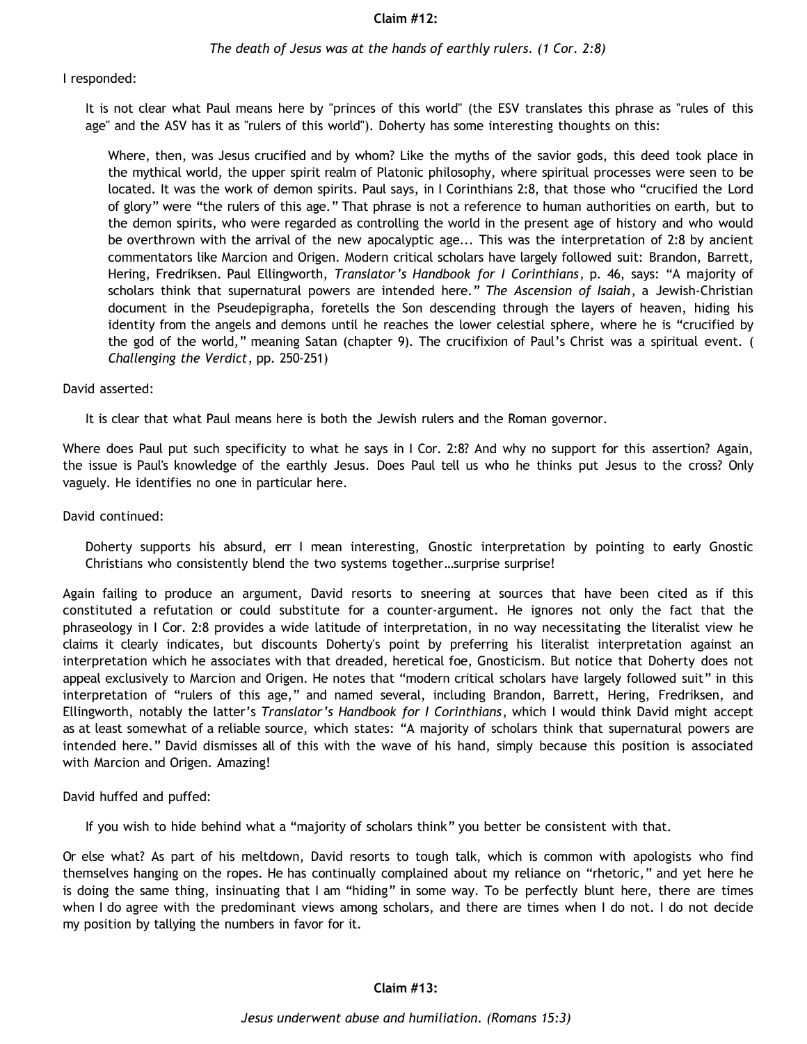#### **Claim #12:**

#### *The death of Jesus was at the hands of earthly rulers. (1 Cor. 2:8)*

#### I responded:

It is not clear what Paul means here by "princes of this world" (the ESV translates this phrase as "rules of this age" and the ASV has it as "rulers of this world"). Doherty has some interesting thoughts on this:

Where, then, was Jesus crucified and by whom? Like the myths of the savior gods, this deed took place in the mythical world, the upper spirit realm of Platonic philosophy, where spiritual processes were seen to be located. It was the work of demon spirits. Paul says, in I Corinthians 2:8, that those who "crucified the Lord of glory" were "the rulers of this age." That phrase is not a reference to human authorities on earth, but to the demon spirits, who were regarded as controlling the world in the present age of history and who would be overthrown with the arrival of the new apocalyptic age... This was the interpretation of 2:8 by ancient commentators like Marcion and Origen. Modern critical scholars have largely followed suit: Brandon, Barrett, Hering, Fredriksen. Paul Ellingworth, *Translator's Handbook for I Corinthians*, p. 46, says: "A majority of scholars think that supernatural powers are intended here." *The Ascension of Isaiah*, a Jewish-Christian document in the Pseudepigrapha, foretells the Son descending through the layers of heaven, hiding his identity from the angels and demons until he reaches the lower celestial sphere, where he is "crucified by the god of the world," meaning Satan (chapter 9). The crucifixion of Paul's Christ was a spiritual event. ( *Challenging the Verdict*, pp. 250-251)

#### David asserted:

It is clear that what Paul means here is both the Jewish rulers and the Roman governor.

Where does Paul put such specificity to what he says in I Cor. 2:8? And why no support for this assertion? Again, the issue is Paul's knowledge of the earthly Jesus. Does Paul tell us who he thinks put Jesus to the cross? Only vaguely. He identifies no one in particular here.

David continued:

Doherty supports his absurd, err I mean interesting, Gnostic interpretation by pointing to early Gnostic Christians who consistently blend the two systems together…surprise surprise!

Again failing to produce an argument, David resorts to sneering at sources that have been cited as if this constituted a refutation or could substitute for a counter-argument. He ignores not only the fact that the phraseology in I Cor. 2:8 provides a wide latitude of interpretation, in no way necessitating the literalist view he claims it clearly indicates, but discounts Doherty's point by preferring his literalist interpretation against an interpretation which he associates with that dreaded, heretical foe, Gnosticism. But notice that Doherty does not appeal exclusively to Marcion and Origen. He notes that "modern critical scholars have largely followed suit" in this interpretation of "rulers of this age," and named several, including Brandon, Barrett, Hering, Fredriksen, and Ellingworth, notably the latter's *Translator's Handbook for I Corinthians*, which I would think David might accept as at least somewhat of a reliable source, which states: "A majority of scholars think that supernatural powers are intended here." David dismisses all of this with the wave of his hand, simply because this position is associated with Marcion and Origen. Amazing!

David huffed and puffed:

If you wish to hide behind what a "majority of scholars think" you better be consistent with that.

Or else what? As part of his meltdown, David resorts to tough talk, which is common with apologists who find themselves hanging on the ropes. He has continually complained about my reliance on "rhetoric," and yet here he is doing the same thing, insinuating that I am "hiding" in some way. To be perfectly blunt here, there are times when I do agree with the predominant views among scholars, and there are times when I do not. I do not decide my position by tallying the numbers in favor for it.

#### **Claim #13:**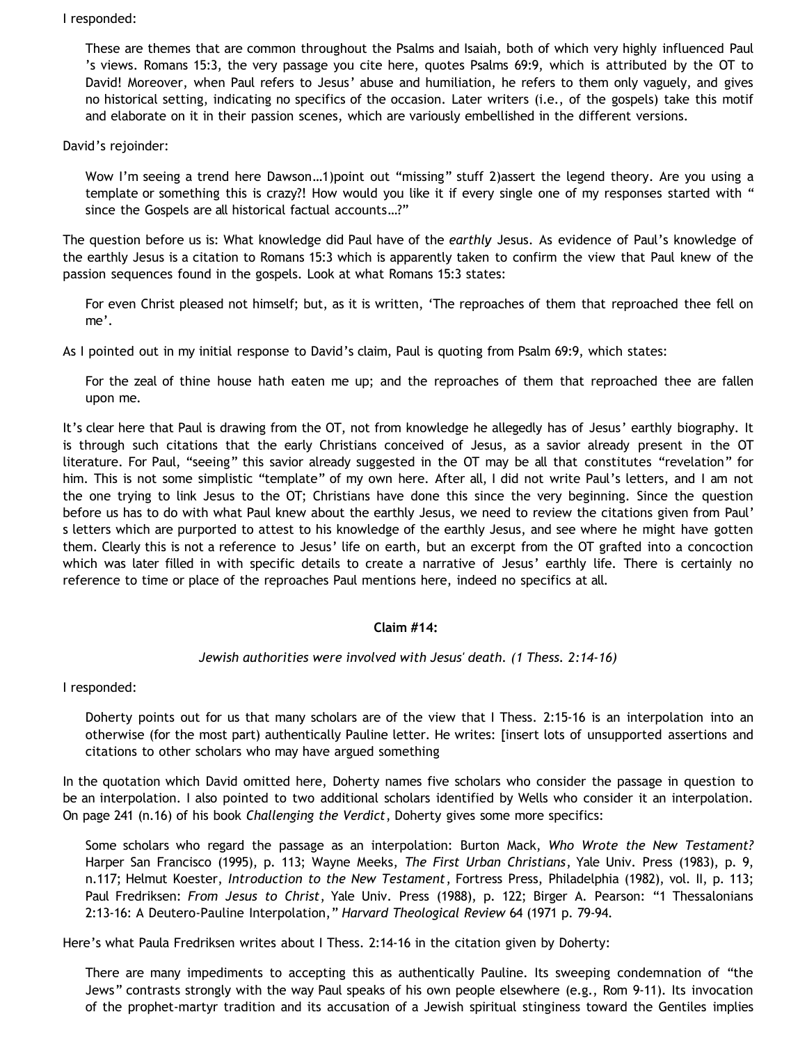## I responded:

These are themes that are common throughout the Psalms and Isaiah, both of which very highly influenced Paul 's views. Romans 15:3, the very passage you cite here, quotes Psalms 69:9, which is attributed by the OT to David! Moreover, when Paul refers to Jesus' abuse and humiliation, he refers to them only vaguely, and gives no historical setting, indicating no specifics of the occasion. Later writers (i.e., of the gospels) take this motif and elaborate on it in their passion scenes, which are variously embellished in the different versions.

## David's rejoinder:

Wow I'm seeing a trend here Dawson…1)point out "missing" stuff 2)assert the legend theory. Are you using a template or something this is crazy?! How would you like it if every single one of my responses started with " since the Gospels are all historical factual accounts…?"

The question before us is: What knowledge did Paul have of the *earthly* Jesus. As evidence of Paul's knowledge of the earthly Jesus is a citation to Romans 15:3 which is apparently taken to confirm the view that Paul knew of the passion sequences found in the gospels. Look at what Romans 15:3 states:

For even Christ pleased not himself; but, as it is written, 'The reproaches of them that reproached thee fell on me'.

As I pointed out in my initial response to David's claim, Paul is quoting from Psalm 69:9, which states:

For the zeal of thine house hath eaten me up; and the reproaches of them that reproached thee are fallen upon me.

It's clear here that Paul is drawing from the OT, not from knowledge he allegedly has of Jesus' earthly biography. It is through such citations that the early Christians conceived of Jesus, as a savior already present in the OT literature. For Paul, "seeing" this savior already suggested in the OT may be all that constitutes "revelation" for him. This is not some simplistic "template" of my own here. After all, I did not write Paul's letters, and I am not the one trying to link Jesus to the OT; Christians have done this since the very beginning. Since the question before us has to do with what Paul knew about the earthly Jesus, we need to review the citations given from Paul' s letters which are purported to attest to his knowledge of the earthly Jesus, and see where he might have gotten them. Clearly this is not a reference to Jesus' life on earth, but an excerpt from the OT grafted into a concoction which was later filled in with specific details to create a narrative of Jesus' earthly life. There is certainly no reference to time or place of the reproaches Paul mentions here, indeed no specifics at all.

# **Claim #14:**

# *Jewish authorities were involved with Jesus' death. (1 Thess. 2:14-16)*

I responded:

Doherty points out for us that many scholars are of the view that I Thess. 2:15-16 is an interpolation into an otherwise (for the most part) authentically Pauline letter. He writes: [insert lots of unsupported assertions and citations to other scholars who may have argued something

In the quotation which David omitted here, Doherty names five scholars who consider the passage in question to be an interpolation. I also pointed to two additional scholars identified by Wells who consider it an interpolation. On page 241 (n.16) of his book *Challenging the Verdict*, Doherty gives some more specifics:

Some scholars who regard the passage as an interpolation: Burton Mack, *Who Wrote the New Testament?* Harper San Francisco (1995), p. 113; Wayne Meeks, *The First Urban Christians*, Yale Univ. Press (1983), p. 9, n.117; Helmut Koester, *Introduction to the New Testament*, Fortress Press, Philadelphia (1982), vol. II, p. 113; Paul Fredriksen: *From Jesus to Christ*, Yale Univ. Press (1988), p. 122; Birger A. Pearson: "1 Thessalonians 2:13-16: A Deutero-Pauline Interpolation," *Harvard Theological Review* 64 (1971 p. 79-94.

Here's what Paula Fredriksen writes about I Thess. 2:14-16 in the citation given by Doherty:

There are many impediments to accepting this as authentically Pauline. Its sweeping condemnation of "the Jews" contrasts strongly with the way Paul speaks of his own people elsewhere (e.g., Rom 9-11). Its invocation of the prophet-martyr tradition and its accusation of a Jewish spiritual stinginess toward the Gentiles implies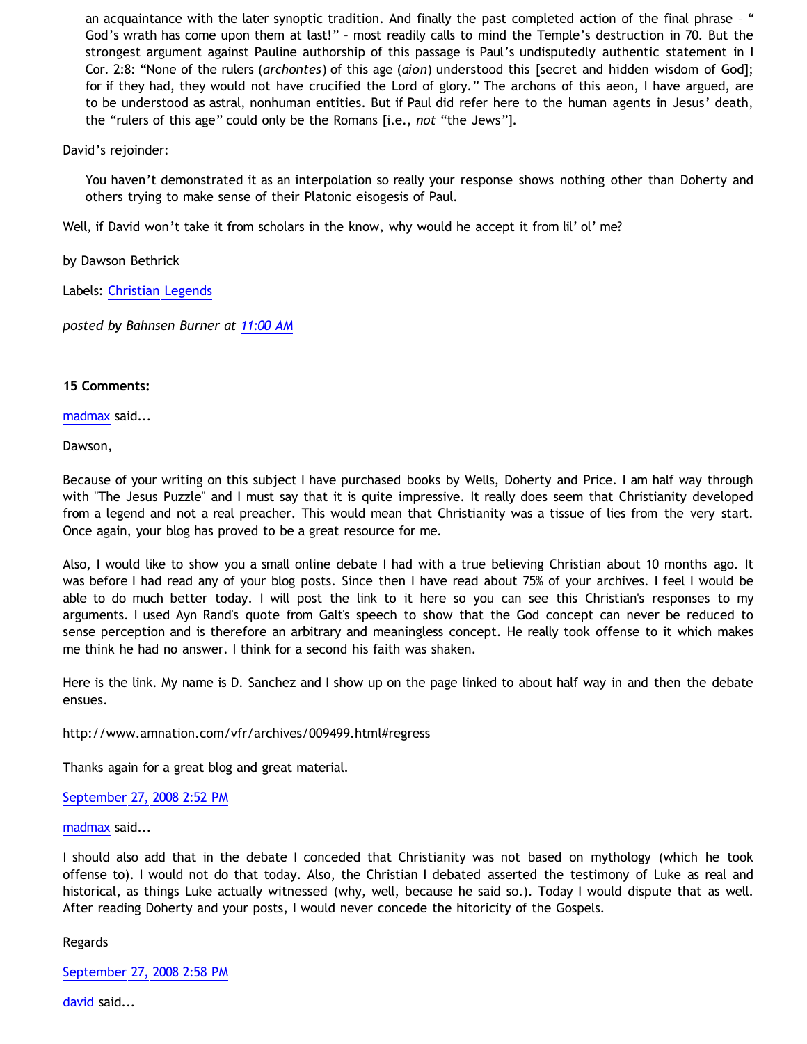an acquaintance with the later synoptic tradition. And finally the past completed action of the final phrase - " God's wrath has come upon them at last!" – most readily calls to mind the Temple's destruction in 70. But the strongest argument against Pauline authorship of this passage is Paul's undisputedly authentic statement in I Cor. 2:8: "None of the rulers (*archontes*) of this age (*aion*) understood this [secret and hidden wisdom of God]; for if they had, they would not have crucified the Lord of glory." The archons of this aeon, I have argued, are to be understood as astral, nonhuman entities. But if Paul did refer here to the human agents in Jesus' death, the "rulers of this age" could only be the Romans [i.e., *not* "the Jews"].

David's rejoinder:

You haven't demonstrated it as an interpolation so really your response shows nothing other than Doherty and others trying to make sense of their Platonic eisogesis of Paul.

Well, if David won't take it from scholars in the know, why would he accept it from lil' ol' me?

by Dawson Bethrick

Labels: [Christian Legends](http://bahnsenburner.blogspot.com/search/label/Christian%20Legends)

*posted by Bahnsen Burner at [11:00 AM](http://bahnsenburner.blogspot.com/2008/09/pauls-ignorance-of-earthly-jesus-part-3.html)*

### **15 Comments:**

[madmax](http://www.blogger.com/profile/14375140131881725965) said...

Dawson,

Because of your writing on this subject I have purchased books by Wells, Doherty and Price. I am half way through with "The Jesus Puzzle" and I must say that it is quite impressive. It really does seem that Christianity developed from a legend and not a real preacher. This would mean that Christianity was a tissue of lies from the very start. Once again, your blog has proved to be a great resource for me.

Also, I would like to show you a small online debate I had with a true believing Christian about 10 months ago. It was before I had read any of your blog posts. Since then I have read about 75% of your archives. I feel I would be able to do much better today. I will post the link to it here so you can see this Christian's responses to my arguments. I used Ayn Rand's quote from Galt's speech to show that the God concept can never be reduced to sense perception and is therefore an arbitrary and meaningless concept. He really took offense to it which makes me think he had no answer. I think for a second his faith was shaken.

Here is the link. My name is D. Sanchez and I show up on the page linked to about half way in and then the debate ensues.

<http://www.amnation.com/vfr/archives/009499.html#regress>

Thanks again for a great blog and great material.

# [September 27, 2008 2:52 PM](http://bahnsenburner.blogspot.com/2008/09/1853082408558108767)

[madmax](http://www.blogger.com/profile/14375140131881725965) said...

I should also add that in the debate I conceded that Christianity was not based on mythology (which he took offense to). I would not do that today. Also, the Christian I debated asserted the testimony of Luke as real and historical, as things Luke actually witnessed (why, well, because he said so.). Today I would dispute that as well. After reading Doherty and your posts, I would never concede the hitoricity of the Gospels.

Regards

[September 27, 2008 2:58 PM](http://bahnsenburner.blogspot.com/2008/09/8644607401542780825)

[david](http://www.blogger.com/profile/08071763988772047093) said...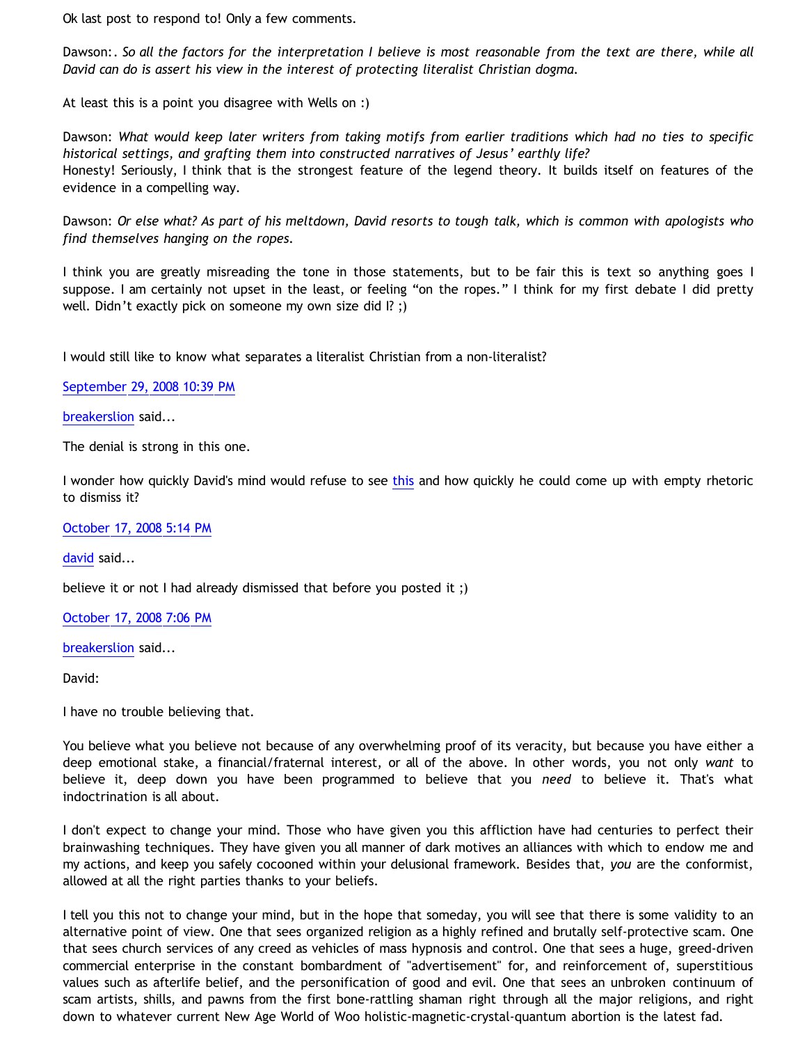Ok last post to respond to! Only a few comments.

Dawson:*. So all the factors for the interpretation I believe is most reasonable from the text are there, while all David can do is assert his view in the interest of protecting literalist Christian dogma.*

At least this is a point you disagree with Wells on :)

Dawson: *What would keep later writers from taking motifs from earlier traditions which had no ties to specific historical settings, and grafting them into constructed narratives of Jesus' earthly life?* Honesty! Seriously, I think that is the strongest feature of the legend theory. It builds itself on features of the evidence in a compelling way.

Dawson: *Or else what? As part of his meltdown, David resorts to tough talk, which is common with apologists who find themselves hanging on the ropes.*

I think you are greatly misreading the tone in those statements, but to be fair this is text so anything goes I suppose. I am certainly not upset in the least, or feeling "on the ropes." I think for my first debate I did pretty well. Didn't exactly pick on someone my own size did I? ;)

I would still like to know what separates a literalist Christian from a non-literalist?

[September 29, 2008 10:39 PM](http://bahnsenburner.blogspot.com/2008/09/590525363934975067)

[breakerslion](http://www.blogger.com/profile/14327290369084118043) said...

The denial is strong in this one.

I wonder how quickly David's mind would refuse to see [this](http://www.bibliotecapleyades.net/biblianazar/esp_biblianazar_9a.htm) and how quickly he could come up with empty rhetoric to dismiss it?

[October 17, 2008 5:14 PM](http://bahnsenburner.blogspot.com/2008/09/269700027790540348)

[david](http://www.blogger.com/profile/08071763988772047093) said...

believe it or not I had already dismissed that before you posted it ;)

[October 17, 2008 7:06 PM](http://bahnsenburner.blogspot.com/2008/09/5573846890102912396)

[breakerslion](http://www.blogger.com/profile/14327290369084118043) said...

David:

I have no trouble believing that.

You believe what you believe not because of any overwhelming proof of its veracity, but because you have either a deep emotional stake, a financial/fraternal interest, or all of the above. In other words, you not only *want* to believe it, deep down you have been programmed to believe that you *need* to believe it. That's what indoctrination is all about.

I don't expect to change your mind. Those who have given you this affliction have had centuries to perfect their brainwashing techniques. They have given you all manner of dark motives an alliances with which to endow me and my actions, and keep you safely cocooned within your delusional framework. Besides that, *you* are the conformist, allowed at all the right parties thanks to your beliefs.

I tell you this not to change your mind, but in the hope that someday, you will see that there is some validity to an alternative point of view. One that sees organized religion as a highly refined and brutally self-protective scam. One that sees church services of any creed as vehicles of mass hypnosis and control. One that sees a huge, greed-driven commercial enterprise in the constant bombardment of "advertisement" for, and reinforcement of, superstitious values such as afterlife belief, and the personification of good and evil. One that sees an unbroken continuum of scam artists, shills, and pawns from the first bone-rattling shaman right through all the major religions, and right down to whatever current New Age World of Woo holistic-magnetic-crystal-quantum abortion is the latest fad.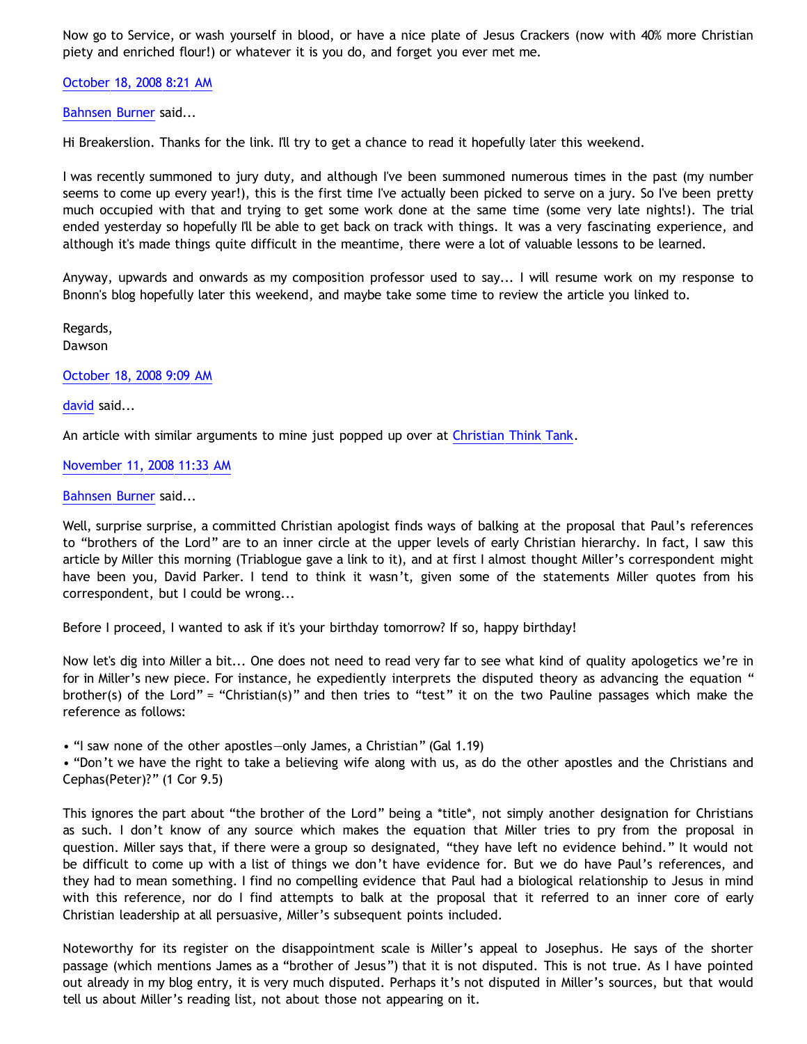Now go to Service, or wash yourself in blood, or have a nice plate of Jesus Crackers (now with 40% more Christian piety and enriched flour!) or whatever it is you do, and forget you ever met me.

[October 18, 2008 8:21 AM](http://bahnsenburner.blogspot.com/2008/09/5599935564976135764)

[Bahnsen Burner](http://www.blogger.com/profile/11030029491768748360) said...

Hi Breakerslion. Thanks for the link. I'll try to get a chance to read it hopefully later this weekend.

I was recently summoned to jury duty, and although I've been summoned numerous times in the past (my number seems to come up every year!), this is the first time I've actually been picked to serve on a jury. So I've been pretty much occupied with that and trying to get some work done at the same time (some very late nights!). The trial ended yesterday so hopefully I'll be able to get back on track with things. It was a very fascinating experience, and although it's made things quite difficult in the meantime, there were a lot of valuable lessons to be learned.

Anyway, upwards and onwards as my composition professor used to say... I will resume work on my response to Bnonn's blog hopefully later this weekend, and maybe take some time to review the article you linked to.

Regards, Dawson

[October 18, 2008 9:09 AM](http://bahnsenburner.blogspot.com/2008/09/3013759573027332721)

[david](http://www.blogger.com/profile/08071763988772047093) said...

An article with similar arguments to mine just popped up over at [Christian Think Tank.](http://www.christian-thinktank.com/muddleplatonismx1.html)

[November 11, 2008 11:33 AM](http://bahnsenburner.blogspot.com/2008/09/924046826068426282)

[Bahnsen Burner](http://www.blogger.com/profile/11030029491768748360) said...

Well, surprise surprise, a committed Christian apologist finds ways of balking at the proposal that Paul's references to "brothers of the Lord" are to an inner circle at the upper levels of early Christian hierarchy. In fact, I saw this article by Miller this morning (Triablogue gave a link to it), and at first I almost thought Miller's correspondent might have been you, David Parker. I tend to think it wasn't, given some of the statements Miller quotes from his correspondent, but I could be wrong...

Before I proceed, I wanted to ask if it's your birthday tomorrow? If so, happy birthday!

Now let's dig into Miller a bit... One does not need to read very far to see what kind of quality apologetics we're in for in Miller's new piece. For instance, he expediently interprets the disputed theory as advancing the equation " brother(s) of the Lord" = "Christian(s)" and then tries to "test" it on the two Pauline passages which make the reference as follows:

• "I saw none of the other apostles—only James, a Christian" (Gal 1.19)

• "Don't we have the right to take a believing wife along with us, as do the other apostles and the Christians and Cephas(Peter)?" (1 Cor 9.5)

This ignores the part about "the brother of the Lord" being a \*title\*, not simply another designation for Christians as such. I don't know of any source which makes the equation that Miller tries to pry from the proposal in question. Miller says that, if there were a group so designated, "they have left no evidence behind." It would not be difficult to come up with a list of things we don't have evidence for. But we do have Paul's references, and they had to mean something. I find no compelling evidence that Paul had a biological relationship to Jesus in mind with this reference, nor do I find attempts to balk at the proposal that it referred to an inner core of early Christian leadership at all persuasive, Miller's subsequent points included.

Noteworthy for its register on the disappointment scale is Miller's appeal to Josephus. He says of the shorter passage (which mentions James as a "brother of Jesus") that it is not disputed. This is not true. As I have pointed out already in my blog entry, it is very much disputed. Perhaps it's not disputed in Miller's sources, but that would tell us about Miller's reading list, not about those not appearing on it.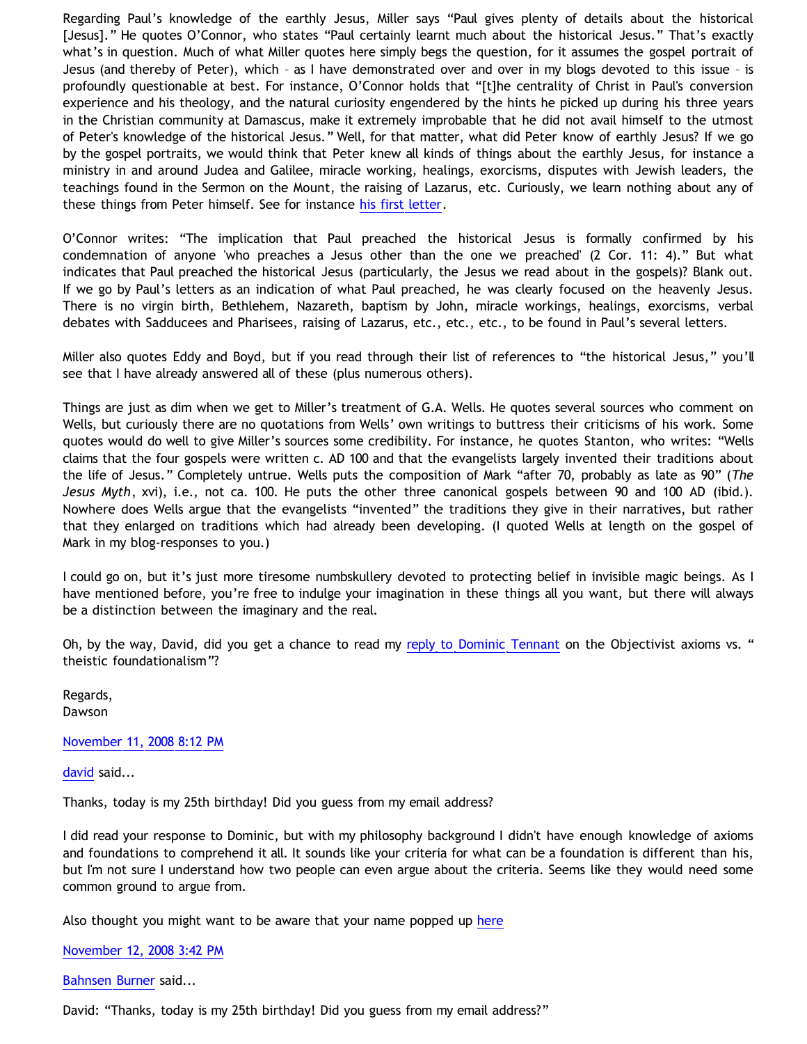Regarding Paul's knowledge of the earthly Jesus, Miller says "Paul gives plenty of details about the historical [Jesus]." He quotes O'Connor, who states "Paul certainly learnt much about the historical Jesus." That's exactly what's in question. Much of what Miller quotes here simply begs the question, for it assumes the gospel portrait of Jesus (and thereby of Peter), which – as I have demonstrated over and over in my blogs devoted to this issue – is profoundly questionable at best. For instance, O'Connor holds that "[t]he centrality of Christ in Paul's conversion experience and his theology, and the natural curiosity engendered by the hints he picked up during his three years in the Christian community at Damascus, make it extremely improbable that he did not avail himself to the utmost of Peter's knowledge of the historical Jesus." Well, for that matter, what did Peter know of earthly Jesus? If we go by the gospel portraits, we would think that Peter knew all kinds of things about the earthly Jesus, for instance a ministry in and around Judea and Galilee, miracle working, healings, exorcisms, disputes with Jewish leaders, the teachings found in the Sermon on the Mount, the raising of Lazarus, etc. Curiously, we learn nothing about any of these things from Peter himself. See for instance [his first letter.](http://bahnsenburner.blogspot.com/2006/05/did-author-of-i-peter-see-risen-jesus.html)

O'Connor writes: "The implication that Paul preached the historical Jesus is formally confirmed by his condemnation of anyone 'who preaches a Jesus other than the one we preached' (2 Cor. 11: 4)." But what indicates that Paul preached the historical Jesus (particularly, the Jesus we read about in the gospels)? Blank out. If we go by Paul's letters as an indication of what Paul preached, he was clearly focused on the heavenly Jesus. There is no virgin birth, Bethlehem, Nazareth, baptism by John, miracle workings, healings, exorcisms, verbal debates with Sadducees and Pharisees, raising of Lazarus, etc., etc., etc., to be found in Paul's several letters.

Miller also quotes Eddy and Boyd, but if you read through their list of references to "the historical Jesus," you'll see that I have already answered all of these (plus numerous others).

Things are just as dim when we get to Miller's treatment of G.A. Wells. He quotes several sources who comment on Wells, but curiously there are no quotations from Wells' own writings to buttress their criticisms of his work. Some quotes would do well to give Miller's sources some credibility. For instance, he quotes Stanton, who writes: "Wells claims that the four gospels were written c. AD 100 and that the evangelists largely invented their traditions about the life of Jesus." Completely untrue. Wells puts the composition of Mark "after 70, probably as late as 90" (*The Jesus Myth*, xvi), i.e., not ca. 100. He puts the other three canonical gospels between 90 and 100 AD (ibid.). Nowhere does Wells argue that the evangelists "invented" the traditions they give in their narratives, but rather that they enlarged on traditions which had already been developing. (I quoted Wells at length on the gospel of Mark in my blog-responses to you.)

I could go on, but it's just more tiresome numbskullery devoted to protecting belief in invisible magic beings. As I have mentioned before, you're free to indulge your imagination in these things all you want, but there will always be a distinction between the imaginary and the real.

Oh, by the way, David, did you get a chance to read my [reply to Dominic Tennant](http://bahnsenburner.blogspot.com/2008/10/reply-to-tennant-on-theistic.html) on the Objectivist axioms vs. " theistic foundationalism"?

Regards, Dawson

[November 11, 2008 8:12 PM](http://bahnsenburner.blogspot.com/2008/09/478335772949931547)

[david](http://www.blogger.com/profile/08071763988772047093) said...

Thanks, today is my 25th birthday! Did you guess from my email address?

I did read your response to Dominic, but with my philosophy background I didn't have enough knowledge of axioms and foundations to comprehend it all. It sounds like your criteria for what can be a foundation is different than his, but I'm not sure I understand how two people can even argue about the criteria. Seems like they would need some common ground to argue from.

Also thought you might want to be aware that your name popped up [here](http://triablogue.blogspot.com/2008/11/in-news.html)

[November 12, 2008 3:42 PM](http://bahnsenburner.blogspot.com/2008/09/65170777945203217)

[Bahnsen Burner](http://www.blogger.com/profile/11030029491768748360) said...

David: "Thanks, today is my 25th birthday! Did you guess from my email address?"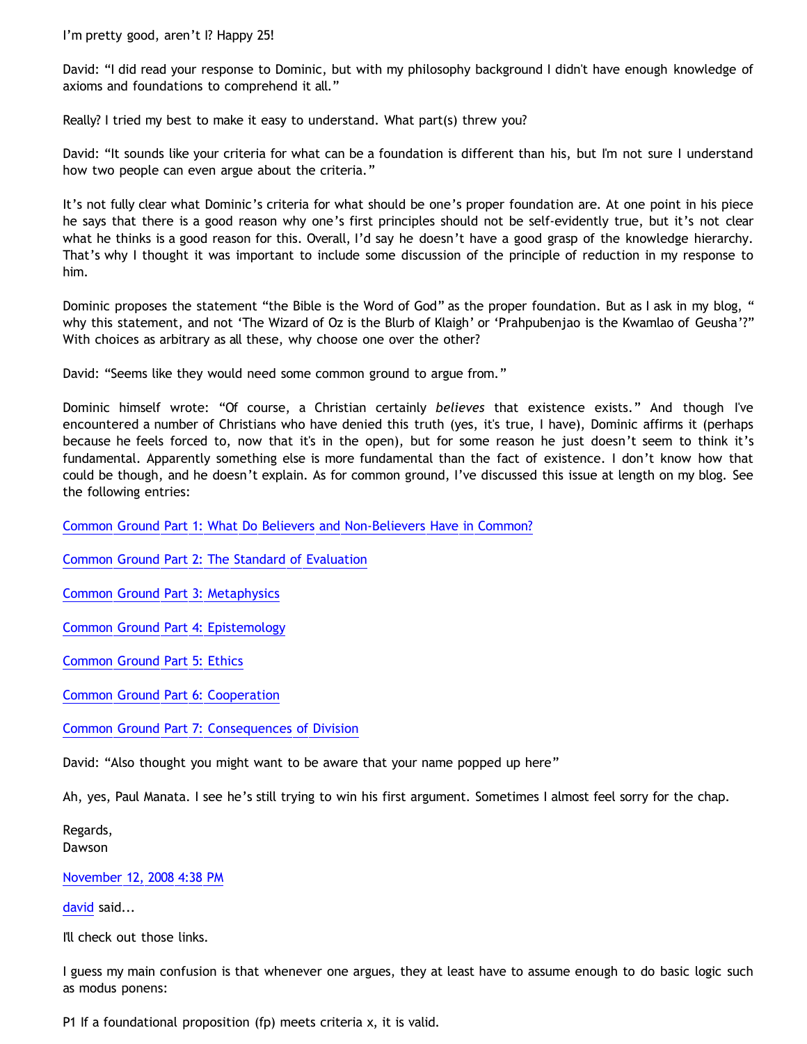I'm pretty good, aren't I? Happy 25!

David: "I did read your response to Dominic, but with my philosophy background I didn't have enough knowledge of axioms and foundations to comprehend it all."

Really? I tried my best to make it easy to understand. What part(s) threw you?

David: "It sounds like your criteria for what can be a foundation is different than his, but I'm not sure I understand how two people can even argue about the criteria."

It's not fully clear what Dominic's criteria for what should be one's proper foundation are. At one point in his piece he says that there is a good reason why one's first principles should not be self-evidently true, but it's not clear what he thinks is a good reason for this. Overall, I'd say he doesn't have a good grasp of the knowledge hierarchy. That's why I thought it was important to include some discussion of the principle of reduction in my response to him.

Dominic proposes the statement "the Bible is the Word of God" as the proper foundation. But as I ask in my blog, " why this statement, and not 'The Wizard of Oz is the Blurb of Klaigh' or 'Prahpubenjao is the Kwamlao of Geusha'?" With choices as arbitrary as all these, why choose one over the other?

David: "Seems like they would need some common ground to argue from."

Dominic himself wrote: "Of course, a Christian certainly *believes* that existence exists." And though I've encountered a number of Christians who have denied this truth (yes, it's true, I have), Dominic affirms it (perhaps because he feels forced to, now that it's in the open), but for some reason he just doesn't seem to think it's fundamental. Apparently something else is more fundamental than the fact of existence. I don't know how that could be though, and he doesn't explain. As for common ground, I've discussed this issue at length on my blog. See the following entries:

[Common Ground Part 1: What Do Believers and Non-Believers Have in Common?](http://bahnsenburner.blogspot.com/2007/01/common-ground.html)

[Common Ground Part 2: The Standard of Evaluation](http://bahnsenburner.blogspot.com/2007/03/common-ground-part-2-standard-of.html)

[Common Ground Part 3: Metaphysics](http://bahnsenburner.blogspot.com/2007/03/common-ground-part-3-metaphysics.html)

[Common Ground Part 4: Epistemology](http://bahnsenburner.blogspot.com/2007/03/common-ground-part-4-epistemology.html)

[Common Ground Part 5: Ethics](http://bahnsenburner.blogspot.com/2007/03/common-ground-part-5-ethics.html)

[Common Ground Part 6: Cooperation](http://bahnsenburner.blogspot.com/2007/03/common-ground-part-6-cooperation.html)

[Common Ground Part 7: Consequences of Division](http://bahnsenburner.blogspot.com/2007/03/common-ground-part-7-consequences-of.html)

David: "Also thought you might want to be aware that your name popped up here"

Ah, yes, Paul Manata. I see he's still trying to win his first argument. Sometimes I almost feel sorry for the chap.

Regards, Dawson

[November 12, 2008 4:38 PM](http://bahnsenburner.blogspot.com/2008/09/3217099636141264872)

[david](http://www.blogger.com/profile/08071763988772047093) said...

I'll check out those links.

I guess my main confusion is that whenever one argues, they at least have to assume enough to do basic logic such as modus ponens:

P1 If a foundational proposition (fp) meets criteria x, it is valid.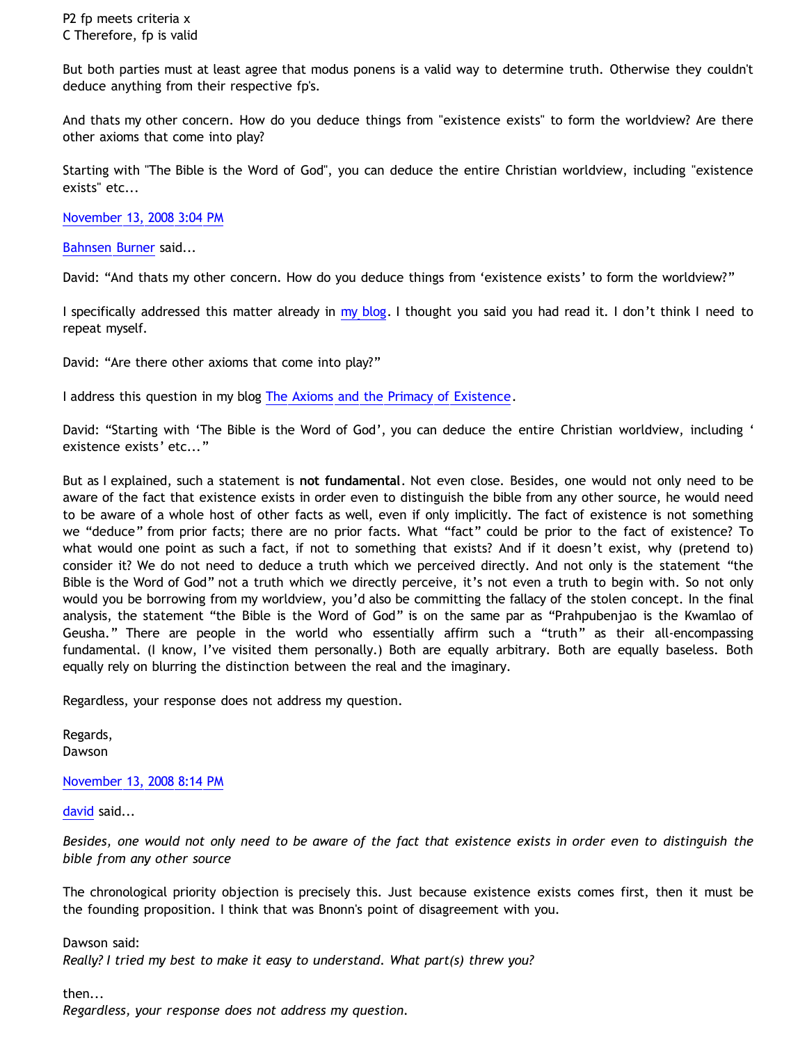P2 fp meets criteria x C Therefore, fp is valid

But both parties must at least agree that modus ponens is a valid way to determine truth. Otherwise they couldn't deduce anything from their respective fp's.

And thats my other concern. How do you deduce things from "existence exists" to form the worldview? Are there other axioms that come into play?

Starting with "The Bible is the Word of God", you can deduce the entire Christian worldview, including "existence exists" etc...

[November 13, 2008 3:04 PM](http://bahnsenburner.blogspot.com/2008/09/8133769076280778914)

[Bahnsen Burner](http://www.blogger.com/profile/11030029491768748360) said...

David: "And thats my other concern. How do you deduce things from 'existence exists' to form the worldview?"

I specifically addressed this matter already in [my blog.](http://bahnsenburner.blogspot.com/2008/10/reply-to-tennant-on-theistic.html) I thought you said you had read it. I don't think I need to repeat myself.

David: "Are there other axioms that come into play?"

I address this question in my blog [The Axioms and the Primacy of Existence.](http://bahnsenburner.blogspot.com/2006/12/axioms-and-primacy-of-existence.html)

David: "Starting with 'The Bible is the Word of God', you can deduce the entire Christian worldview, including ' existence exists' etc..."

But as I explained, such a statement is **not fundamental**. Not even close. Besides, one would not only need to be aware of the fact that existence exists in order even to distinguish the bible from any other source, he would need to be aware of a whole host of other facts as well, even if only implicitly. The fact of existence is not something we "deduce" from prior facts; there are no prior facts. What "fact" could be prior to the fact of existence? To what would one point as such a fact, if not to something that exists? And if it doesn't exist, why (pretend to) consider it? We do not need to deduce a truth which we perceived directly. And not only is the statement "the Bible is the Word of God" not a truth which we directly perceive, it's not even a truth to begin with. So not only would you be borrowing from my worldview, you'd also be committing the fallacy of the stolen concept. In the final analysis, the statement "the Bible is the Word of God" is on the same par as "Prahpubenjao is the Kwamlao of Geusha." There are people in the world who essentially affirm such a "truth" as their all-encompassing fundamental. (I know, I've visited them personally.) Both are equally arbitrary. Both are equally baseless. Both equally rely on blurring the distinction between the real and the imaginary.

Regardless, your response does not address my question.

Regards, Dawson

[November 13, 2008 8:14 PM](http://bahnsenburner.blogspot.com/2008/09/7069785190396086674)

[david](http://www.blogger.com/profile/08071763988772047093) said...

*Besides, one would not only need to be aware of the fact that existence exists in order even to distinguish the bible from any other source*

The chronological priority objection is precisely this. Just because existence exists comes first, then it must be the founding proposition. I think that was Bnonn's point of disagreement with you.

Dawson said: *Really? I tried my best to make it easy to understand. What part(s) threw you?*

then...

*Regardless, your response does not address my question.*